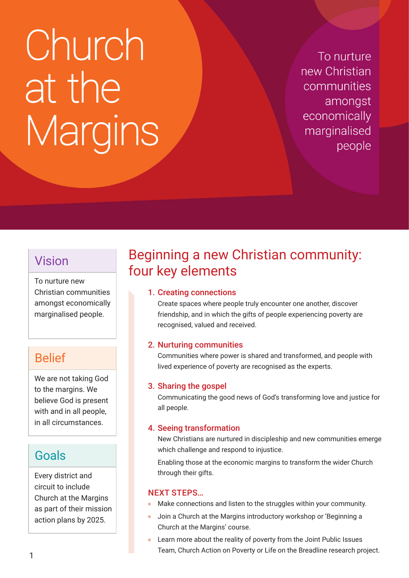# Church at the Margins

To nurture new Christian communities amongst economically marginalised people

### Vision

To nurture new Christian communities amongst economically marginalised people.

## Belief

We are not taking God to the margins. We believe God is present with and in all people, in all circumstances.

## Goals

Every district and circuit to include Church at the Margins as part of their mission action plans by 2025.

# Beginning a new Christian community: four key elements

#### 1. Creating connections

Create spaces where people truly encounter one another, discover friendship, and in which the gifts of people experiencing poverty are recognised, valued and received.

#### 2. Nurturing communities

Communities where power is shared and transformed, and people with lived experience of poverty are recognised as the experts.

#### 3. Sharing the gospel

Communicating the good news of God's transforming love and justice for all people.

#### 4. Seeing transformation

New Christians are nurtured in discipleship and new communities emerge which challenge and respond to injustice.

Enabling those at the economic margins to transform the wider Church through their gifts.

#### NEXT STEPS…

- Make connections and listen to the struggles within your community.
- Join a Church at the Margins introductory workshop or 'Beginning a Church at the Margins' course.
- Learn more about the reality of poverty from the Joint Public Issues Team, Church Action on Poverty or Life on the Breadline research project.